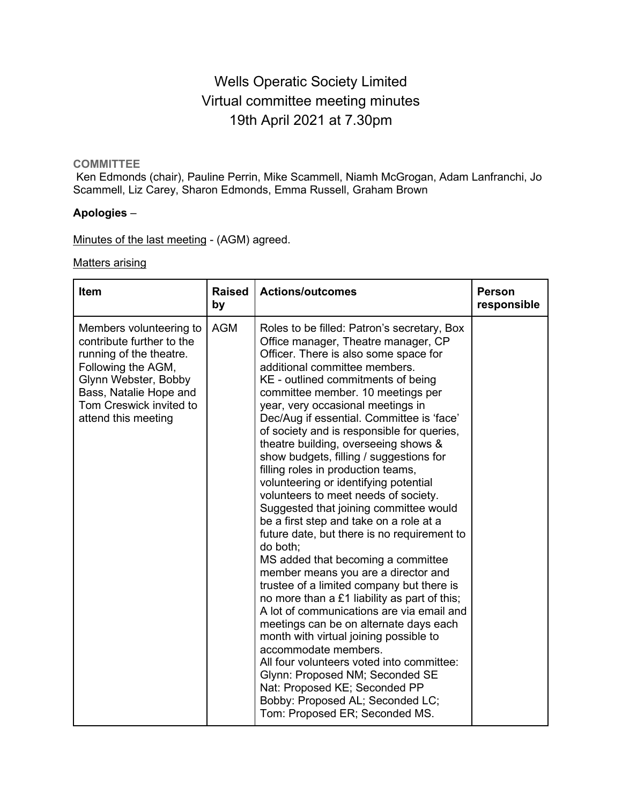# Wells Operatic Society Limited Virtual committee meeting minutes 19th April 2021 at 7.30pm

### **COMMITTEE**

Ken Edmonds (chair), Pauline Perrin, Mike Scammell, Niamh McGrogan, Adam Lanfranchi, Jo Scammell, Liz Carey, Sharon Edmonds, Emma Russell, Graham Brown

#### **Apologies** –

Minutes of the last meeting - (AGM) agreed.

#### Matters arising

| Item                                                                                                                                                                                                      | <b>Raised</b><br>by | <b>Actions/outcomes</b>                                                                                                                                                                                                                                                                                                                                                                                                                                                                                                                                                                                                                                                                                                                                                                                                                                                                                                                                                                                                                                                                                                                                                                                                                                     | <b>Person</b><br>responsible |
|-----------------------------------------------------------------------------------------------------------------------------------------------------------------------------------------------------------|---------------------|-------------------------------------------------------------------------------------------------------------------------------------------------------------------------------------------------------------------------------------------------------------------------------------------------------------------------------------------------------------------------------------------------------------------------------------------------------------------------------------------------------------------------------------------------------------------------------------------------------------------------------------------------------------------------------------------------------------------------------------------------------------------------------------------------------------------------------------------------------------------------------------------------------------------------------------------------------------------------------------------------------------------------------------------------------------------------------------------------------------------------------------------------------------------------------------------------------------------------------------------------------------|------------------------------|
| Members volunteering to<br>contribute further to the<br>running of the theatre.<br>Following the AGM,<br>Glynn Webster, Bobby<br>Bass, Natalie Hope and<br>Tom Creswick invited to<br>attend this meeting | <b>AGM</b>          | Roles to be filled: Patron's secretary, Box<br>Office manager, Theatre manager, CP<br>Officer. There is also some space for<br>additional committee members.<br>KE - outlined commitments of being<br>committee member. 10 meetings per<br>year, very occasional meetings in<br>Dec/Aug if essential. Committee is 'face'<br>of society and is responsible for queries,<br>theatre building, overseeing shows &<br>show budgets, filling / suggestions for<br>filling roles in production teams,<br>volunteering or identifying potential<br>volunteers to meet needs of society.<br>Suggested that joining committee would<br>be a first step and take on a role at a<br>future date, but there is no requirement to<br>do both;<br>MS added that becoming a committee<br>member means you are a director and<br>trustee of a limited company but there is<br>no more than a £1 liability as part of this;<br>A lot of communications are via email and<br>meetings can be on alternate days each<br>month with virtual joining possible to<br>accommodate members.<br>All four volunteers voted into committee:<br>Glynn: Proposed NM; Seconded SE<br>Nat: Proposed KE; Seconded PP<br>Bobby: Proposed AL; Seconded LC;<br>Tom: Proposed ER; Seconded MS. |                              |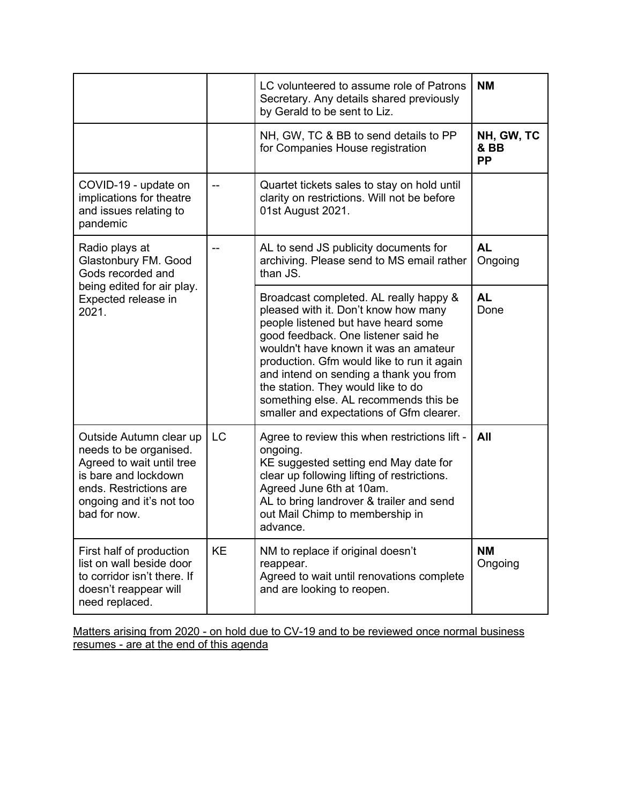|                                                                                                                                                                              |           | LC volunteered to assume role of Patrons<br>Secretary. Any details shared previously<br>by Gerald to be sent to Liz.                                                                                                                                                                                                                                                                                                     | <b>NM</b>                       |
|------------------------------------------------------------------------------------------------------------------------------------------------------------------------------|-----------|--------------------------------------------------------------------------------------------------------------------------------------------------------------------------------------------------------------------------------------------------------------------------------------------------------------------------------------------------------------------------------------------------------------------------|---------------------------------|
|                                                                                                                                                                              |           | NH, GW, TC & BB to send details to PP<br>for Companies House registration                                                                                                                                                                                                                                                                                                                                                | NH, GW, TC<br>& BB<br><b>PP</b> |
| COVID-19 - update on<br>implications for theatre<br>and issues relating to<br>pandemic                                                                                       | --        | Quartet tickets sales to stay on hold until<br>clarity on restrictions. Will not be before<br>01st August 2021.                                                                                                                                                                                                                                                                                                          |                                 |
| Radio plays at<br>Glastonbury FM. Good<br>Gods recorded and                                                                                                                  |           | AL to send JS publicity documents for<br>archiving. Please send to MS email rather<br>than JS.                                                                                                                                                                                                                                                                                                                           | <b>AL</b><br>Ongoing            |
| being edited for air play.<br>Expected release in<br>2021.                                                                                                                   |           | Broadcast completed. AL really happy &<br>pleased with it. Don't know how many<br>people listened but have heard some<br>good feedback. One listener said he<br>wouldn't have known it was an amateur<br>production. Gfm would like to run it again<br>and intend on sending a thank you from<br>the station. They would like to do<br>something else. AL recommends this be<br>smaller and expectations of Gfm clearer. | <b>AL</b><br>Done               |
| Outside Autumn clear up<br>needs to be organised.<br>Agreed to wait until tree<br>is bare and lockdown<br>ends. Restrictions are<br>ongoing and it's not too<br>bad for now. | <b>LC</b> | Agree to review this when restrictions lift -<br>ongoing.<br>KE suggested setting end May date for<br>clear up following lifting of restrictions.<br>Agreed June 6th at 10am.<br>AL to bring landrover & trailer and send<br>out Mail Chimp to membership in<br>advance.                                                                                                                                                 | All                             |
| First half of production<br>list on wall beside door<br>to corridor isn't there. If<br>doesn't reappear will<br>need replaced.                                               | KE        | NM to replace if original doesn't<br>reappear.<br>Agreed to wait until renovations complete<br>and are looking to reopen.                                                                                                                                                                                                                                                                                                | <b>NM</b><br>Ongoing            |

Matters arising from 2020 - on hold due to CV-19 and to be reviewed once normal business resumes - are at the end of this agenda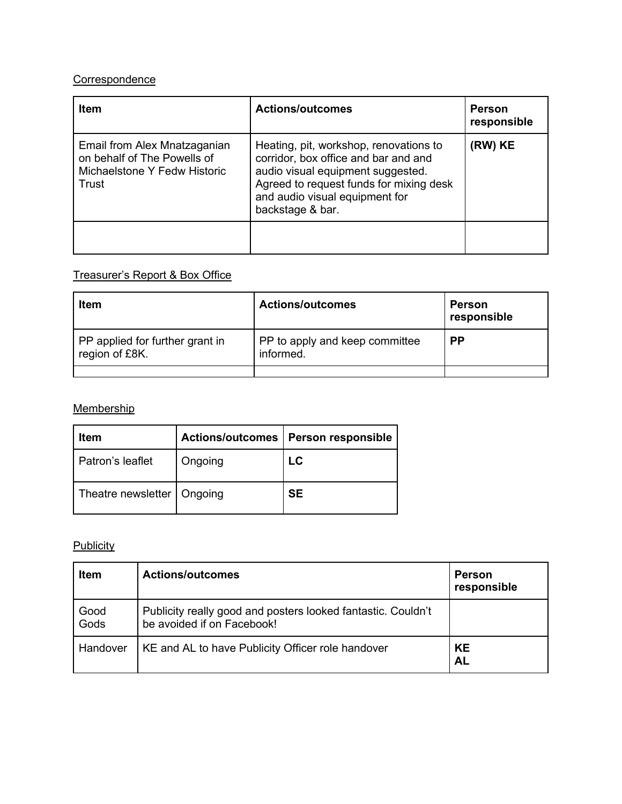# **Correspondence**

| <b>Item</b>                                                                                          | <b>Actions/outcomes</b>                                                                                                                                                                                              | <b>Person</b><br>responsible |
|------------------------------------------------------------------------------------------------------|----------------------------------------------------------------------------------------------------------------------------------------------------------------------------------------------------------------------|------------------------------|
| Email from Alex Mnatzaganian<br>on behalf of The Powells of<br>Michaelstone Y Fedw Historic<br>Trust | Heating, pit, workshop, renovations to<br>corridor, box office and bar and and<br>audio visual equipment suggested.<br>Agreed to request funds for mixing desk<br>and audio visual equipment for<br>backstage & bar. | (RW) KE                      |
|                                                                                                      |                                                                                                                                                                                                                      |                              |

# Treasurer's Report & Box Office

| <b>Actions/outcomes</b>                     | Person<br>responsible |
|---------------------------------------------|-----------------------|
| PP to apply and keep committee<br>informed. | <b>PP</b>             |
|                                             |                       |

# **Membership**

| Item                         | <b>Actions/outcomes</b> | Person responsible |
|------------------------------|-------------------------|--------------------|
| Patron's leaflet             | Ongoing                 | LC                 |
| Theatre newsletter   Ongoing |                         | <b>SE</b>          |

# **Publicity**

| <b>Item</b>  | <b>Actions/outcomes</b>                                                                    | <b>Person</b><br>responsible |
|--------------|--------------------------------------------------------------------------------------------|------------------------------|
| Good<br>Gods | Publicity really good and posters looked fantastic. Couldn't<br>be avoided if on Facebook! |                              |
| Handover     | KE and AL to have Publicity Officer role handover                                          | <b>KE</b><br><b>AL</b>       |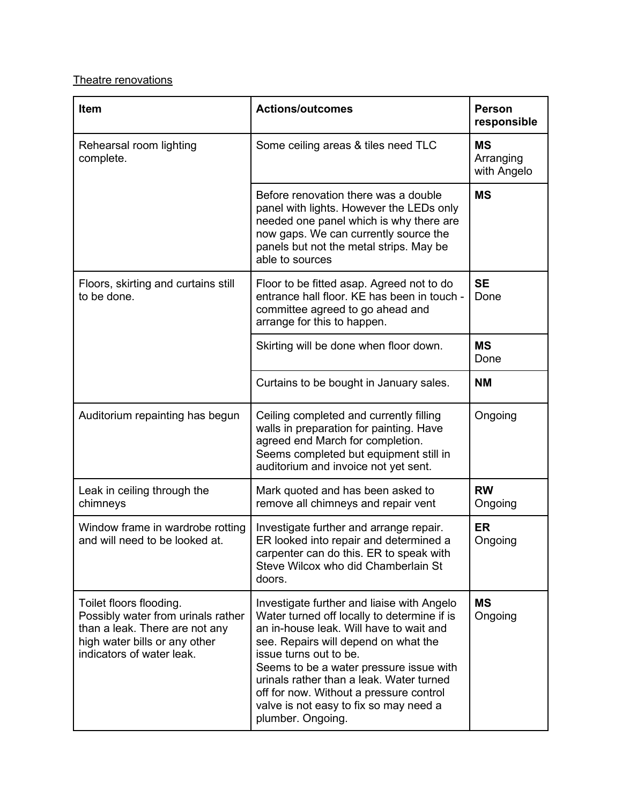# Theatre renovations

| Item                                                                                                                                                          | <b>Actions/outcomes</b>                                                                                                                                                                                                                                                                                                                                                                                 | <b>Person</b><br>responsible          |
|---------------------------------------------------------------------------------------------------------------------------------------------------------------|---------------------------------------------------------------------------------------------------------------------------------------------------------------------------------------------------------------------------------------------------------------------------------------------------------------------------------------------------------------------------------------------------------|---------------------------------------|
| Rehearsal room lighting<br>complete.                                                                                                                          | Some ceiling areas & tiles need TLC                                                                                                                                                                                                                                                                                                                                                                     | <b>MS</b><br>Arranging<br>with Angelo |
|                                                                                                                                                               | Before renovation there was a double<br>panel with lights. However the LEDs only<br>needed one panel which is why there are<br>now gaps. We can currently source the<br>panels but not the metal strips. May be<br>able to sources                                                                                                                                                                      | <b>MS</b>                             |
| Floors, skirting and curtains still<br>to be done.                                                                                                            | Floor to be fitted asap. Agreed not to do<br>entrance hall floor. KE has been in touch -<br>committee agreed to go ahead and<br>arrange for this to happen.                                                                                                                                                                                                                                             | <b>SE</b><br>Done                     |
|                                                                                                                                                               | Skirting will be done when floor down.                                                                                                                                                                                                                                                                                                                                                                  | <b>MS</b><br>Done                     |
|                                                                                                                                                               | Curtains to be bought in January sales.                                                                                                                                                                                                                                                                                                                                                                 | <b>NM</b>                             |
| Auditorium repainting has begun                                                                                                                               | Ceiling completed and currently filling<br>walls in preparation for painting. Have<br>agreed end March for completion.<br>Seems completed but equipment still in<br>auditorium and invoice not yet sent.                                                                                                                                                                                                | Ongoing                               |
| Leak in ceiling through the<br>chimneys                                                                                                                       | Mark quoted and has been asked to<br>remove all chimneys and repair vent                                                                                                                                                                                                                                                                                                                                | <b>RW</b><br>Ongoing                  |
| Window frame in wardrobe rotting<br>and will need to be looked at.                                                                                            | Investigate further and arrange repair.<br>ER looked into repair and determined a<br>carpenter can do this. ER to speak with<br>Steve Wilcox who did Chamberlain St<br>doors.                                                                                                                                                                                                                           | <b>ER</b><br>Ongoing                  |
| Toilet floors flooding.<br>Possibly water from urinals rather<br>than a leak. There are not any<br>high water bills or any other<br>indicators of water leak. | Investigate further and liaise with Angelo<br>Water turned off locally to determine if is<br>an in-house leak. Will have to wait and<br>see. Repairs will depend on what the<br>issue turns out to be.<br>Seems to be a water pressure issue with<br>urinals rather than a leak. Water turned<br>off for now. Without a pressure control<br>valve is not easy to fix so may need a<br>plumber. Ongoing. | <b>MS</b><br>Ongoing                  |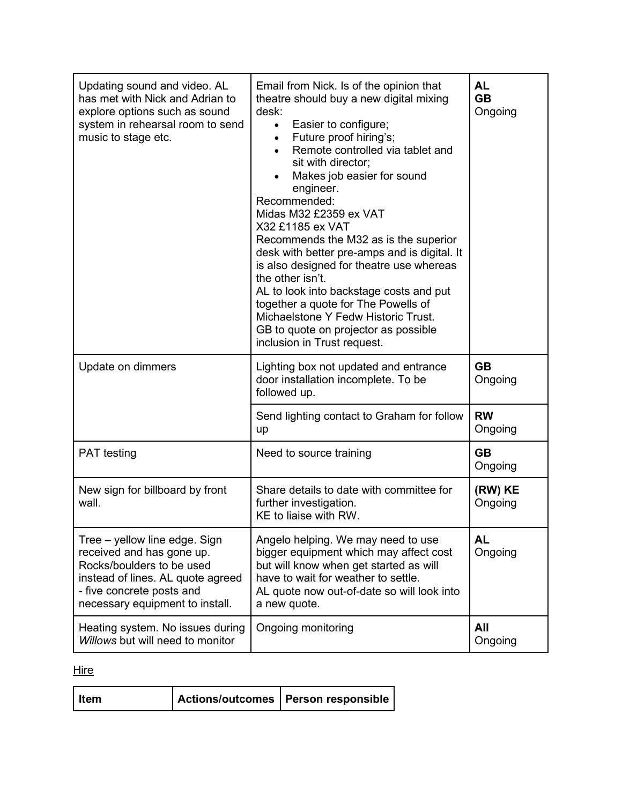| Updating sound and video. AL<br>has met with Nick and Adrian to<br>explore options such as sound<br>system in rehearsal room to send<br>music to stage etc.                                  | Email from Nick. Is of the opinion that<br>theatre should buy a new digital mixing<br>desk:<br>Easier to configure;<br>$\bullet$<br>Future proof hiring's;<br>Remote controlled via tablet and<br>sit with director;<br>Makes job easier for sound<br>engineer.<br>Recommended:<br>Midas M32 £2359 ex VAT<br>X32 £1185 ex VAT<br>Recommends the M32 as is the superior<br>desk with better pre-amps and is digital. It<br>is also designed for theatre use whereas<br>the other isn't.<br>AL to look into backstage costs and put<br>together a quote for The Powells of<br>Michaelstone Y Fedw Historic Trust.<br>GB to quote on projector as possible<br>inclusion in Trust request. | <b>AL</b><br><b>GB</b><br>Ongoing |
|----------------------------------------------------------------------------------------------------------------------------------------------------------------------------------------------|----------------------------------------------------------------------------------------------------------------------------------------------------------------------------------------------------------------------------------------------------------------------------------------------------------------------------------------------------------------------------------------------------------------------------------------------------------------------------------------------------------------------------------------------------------------------------------------------------------------------------------------------------------------------------------------|-----------------------------------|
| Update on dimmers                                                                                                                                                                            | Lighting box not updated and entrance<br>door installation incomplete. To be<br>followed up.                                                                                                                                                                                                                                                                                                                                                                                                                                                                                                                                                                                           | <b>GB</b><br>Ongoing              |
|                                                                                                                                                                                              | Send lighting contact to Graham for follow<br>up                                                                                                                                                                                                                                                                                                                                                                                                                                                                                                                                                                                                                                       | <b>RW</b><br>Ongoing              |
| <b>PAT</b> testing                                                                                                                                                                           | Need to source training                                                                                                                                                                                                                                                                                                                                                                                                                                                                                                                                                                                                                                                                | <b>GB</b><br>Ongoing              |
| New sign for billboard by front<br>wall.                                                                                                                                                     | Share details to date with committee for<br>further investigation.<br>KE to liaise with RW.                                                                                                                                                                                                                                                                                                                                                                                                                                                                                                                                                                                            | (RW) KE<br>Ongoing                |
| Tree – yellow line edge. Sign<br>received and has gone up.<br>Rocks/boulders to be used<br>instead of lines. AL quote agreed<br>- five concrete posts and<br>necessary equipment to install. | Angelo helping. We may need to use<br>bigger equipment which may affect cost<br>but will know when get started as will<br>have to wait for weather to settle.<br>AL quote now out-of-date so will look into<br>a new quote.                                                                                                                                                                                                                                                                                                                                                                                                                                                            | <b>AL</b><br>Ongoing              |
| Heating system. No issues during<br>Willows but will need to monitor                                                                                                                         | Ongoing monitoring                                                                                                                                                                                                                                                                                                                                                                                                                                                                                                                                                                                                                                                                     | All<br>Ongoing                    |

**Hire** 

| Item |  | Actions/outcomes   Person responsible |
|------|--|---------------------------------------|
|------|--|---------------------------------------|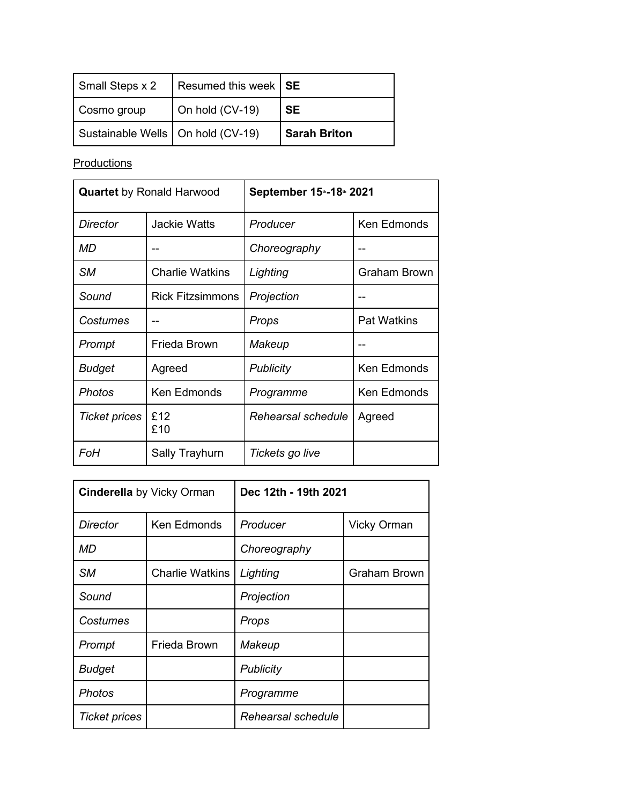| Small Steps x 2                     | Resumed this week   SE |                     |
|-------------------------------------|------------------------|---------------------|
| Cosmo group                         | On hold (CV-19)        | <b>SE</b>           |
| Sustainable Wells   On hold (CV-19) |                        | <b>Sarah Briton</b> |

**Productions** 

| <b>Quartet</b> by Ronald Harwood |                         | September 15th-18th 2021 |                     |
|----------------------------------|-------------------------|--------------------------|---------------------|
| Director                         | <b>Jackie Watts</b>     | Producer                 | <b>Ken Edmonds</b>  |
| MD                               |                         | Choreography             |                     |
| <b>SM</b>                        | <b>Charlie Watkins</b>  | Lighting                 | <b>Graham Brown</b> |
| Sound                            | <b>Rick Fitzsimmons</b> | Projection               |                     |
| Costumes                         |                         | Props                    | <b>Pat Watkins</b>  |
| Prompt                           | Frieda Brown            | Makeup                   |                     |
| Budget                           | Agreed                  | <b>Publicity</b>         | <b>Ken Edmonds</b>  |
| Photos                           | <b>Ken Edmonds</b>      | Programme                | Ken Edmonds         |
| <b>Ticket prices</b>             | £12<br>£10              | Rehearsal schedule       | Agreed              |
| FoH                              | Sally Trayhurn          | Tickets go live          |                     |

| <b>Cinderella</b> by Vicky Orman |                        | Dec 12th - 19th 2021 |                    |
|----------------------------------|------------------------|----------------------|--------------------|
| Director                         | Ken Edmonds            | Producer             | <b>Vicky Orman</b> |
| MD                               |                        | Choreography         |                    |
| <b>SM</b>                        | <b>Charlie Watkins</b> | Lighting             | Graham Brown       |
| Sound                            |                        | Projection           |                    |
| Costumes                         |                        | Props                |                    |
| Prompt                           | Frieda Brown           | Makeup               |                    |
| <b>Budget</b>                    |                        | <b>Publicity</b>     |                    |
| Photos                           |                        | Programme            |                    |
| <b>Ticket prices</b>             |                        | Rehearsal schedule   |                    |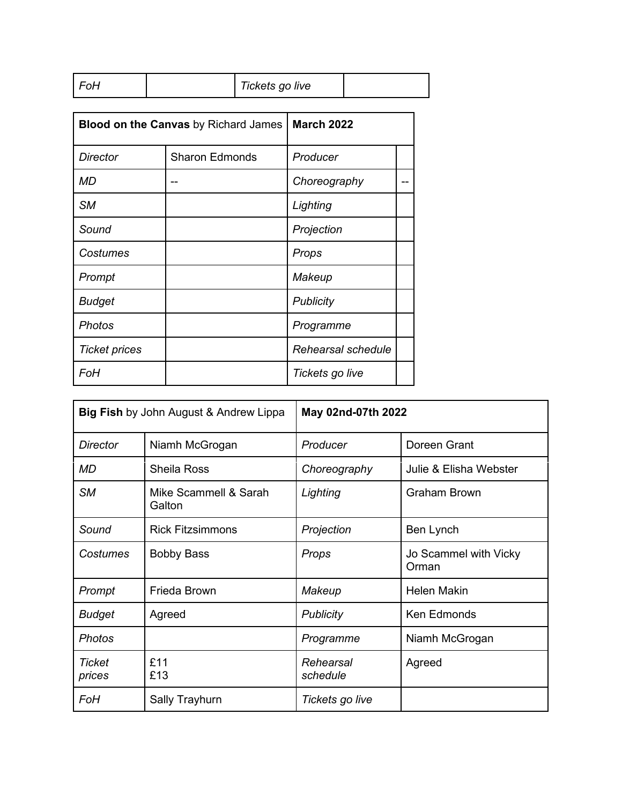| FoH | Tickets go live |  |
|-----|-----------------|--|
|-----|-----------------|--|

| <b>Blood on the Canvas by Richard James</b> |                       | <b>March 2022</b>  |  |
|---------------------------------------------|-----------------------|--------------------|--|
| Director                                    | <b>Sharon Edmonds</b> | Producer           |  |
| <b>MD</b>                                   |                       | Choreography       |  |
| <b>SM</b>                                   |                       | Lighting           |  |
| Sound                                       |                       | Projection         |  |
| Costumes                                    |                       | Props              |  |
| Prompt                                      |                       | Makeup             |  |
| <b>Budget</b>                               |                       | <b>Publicity</b>   |  |
| <b>Photos</b>                               |                       | Programme          |  |
| <b>Ticket prices</b>                        |                       | Rehearsal schedule |  |
| FoH                                         |                       | Tickets go live    |  |

| <b>Big Fish</b> by John August & Andrew Lippa |                                 | May 02nd-07th 2022    |                                |
|-----------------------------------------------|---------------------------------|-----------------------|--------------------------------|
| <b>Director</b>                               | Niamh McGrogan                  | Producer              | Doreen Grant                   |
| <b>MD</b>                                     | <b>Sheila Ross</b>              | Choreography          | Julie & Elisha Webster         |
| <b>SM</b>                                     | Mike Scammell & Sarah<br>Galton | Lighting              | <b>Graham Brown</b>            |
| Sound                                         | <b>Rick Fitzsimmons</b>         | Projection            | Ben Lynch                      |
| Costumes                                      | <b>Bobby Bass</b>               | Props                 | Jo Scammel with Vicky<br>Orman |
| Prompt                                        | Frieda Brown                    | Makeup                | Helen Makin                    |
| <b>Budget</b>                                 | Agreed                          | <b>Publicity</b>      | <b>Ken Edmonds</b>             |
| <b>Photos</b>                                 |                                 | Programme             | Niamh McGrogan                 |
| Ticket<br>prices                              | £11<br>£13                      | Rehearsal<br>schedule | Agreed                         |
| FoH                                           | Sally Trayhurn                  | Tickets go live       |                                |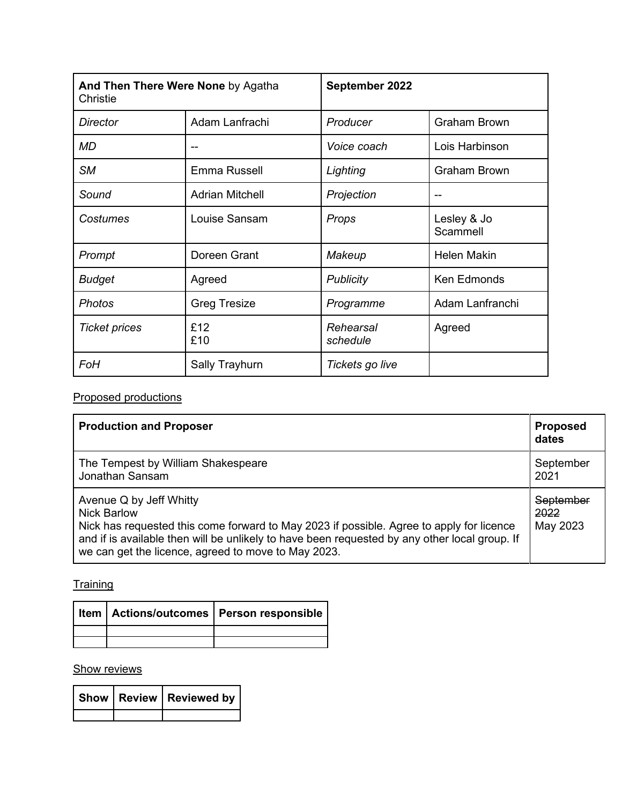| And Then There Were None by Agatha<br>Christie |                        | September 2022        |                         |
|------------------------------------------------|------------------------|-----------------------|-------------------------|
| Director                                       | Adam Lanfrachi         | Producer              | <b>Graham Brown</b>     |
| MD                                             | --                     | Voice coach           | Lois Harbinson          |
| <b>SM</b>                                      | Emma Russell           | Lighting              | <b>Graham Brown</b>     |
| Sound                                          | <b>Adrian Mitchell</b> | Projection            |                         |
| Costumes                                       | Louise Sansam          | Props                 | Lesley & Jo<br>Scammell |
| Prompt                                         | Doreen Grant           | Makeup                | Helen Makin             |
| <b>Budget</b>                                  | Agreed                 | <b>Publicity</b>      | Ken Edmonds             |
| <b>Photos</b>                                  | <b>Greg Tresize</b>    | Programme             | Adam Lanfranchi         |
| <b>Ticket prices</b>                           | £12<br>£10             | Rehearsal<br>schedule | Agreed                  |
| <b>FoH</b>                                     | <b>Sally Trayhurn</b>  | Tickets go live       |                         |

# Proposed productions

| <b>Production and Proposer</b>                                                                                                                                                                                                                                                                    | <b>Proposed</b><br>dates      |
|---------------------------------------------------------------------------------------------------------------------------------------------------------------------------------------------------------------------------------------------------------------------------------------------------|-------------------------------|
| The Tempest by William Shakespeare<br>Jonathan Sansam                                                                                                                                                                                                                                             | September<br>2021             |
| Avenue Q by Jeff Whitty<br><b>Nick Barlow</b><br>Nick has requested this come forward to May 2023 if possible. Agree to apply for licence<br>and if is available then will be unlikely to have been requested by any other local group. If<br>we can get the licence, agreed to move to May 2023. | September<br>2022<br>May 2023 |

**Training** 

|  | Item   Actions/outcomes   Person responsible |
|--|----------------------------------------------|
|  |                                              |
|  |                                              |

### **Show reviews**

|  | Show   Review   Reviewed by |
|--|-----------------------------|
|  |                             |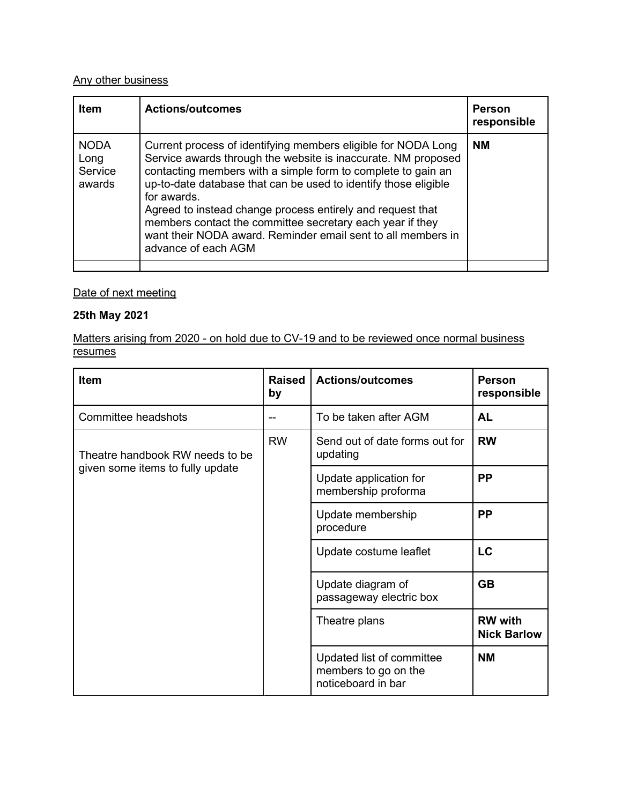# Any other business

| <b>Item</b>                              | <b>Actions/outcomes</b>                                                                                                                                                                                                                                                                                                                                                                                                                                                                            | <b>Person</b><br>responsible |
|------------------------------------------|----------------------------------------------------------------------------------------------------------------------------------------------------------------------------------------------------------------------------------------------------------------------------------------------------------------------------------------------------------------------------------------------------------------------------------------------------------------------------------------------------|------------------------------|
| <b>NODA</b><br>Long<br>Service<br>awards | Current process of identifying members eligible for NODA Long<br>Service awards through the website is inaccurate. NM proposed<br>contacting members with a simple form to complete to gain an<br>up-to-date database that can be used to identify those eligible<br>for awards.<br>Agreed to instead change process entirely and request that<br>members contact the committee secretary each year if they<br>want their NODA award. Reminder email sent to all members in<br>advance of each AGM | <b>NM</b>                    |
|                                          |                                                                                                                                                                                                                                                                                                                                                                                                                                                                                                    |                              |

# Date of next meeting

### **25th May 2021**

Matters arising from 2020 - on hold due to CV-19 and to be reviewed once normal business resumes

| <b>Item</b>                      | <b>Raised</b><br>by | <b>Actions/outcomes</b>                                                 | <b>Person</b><br>responsible         |
|----------------------------------|---------------------|-------------------------------------------------------------------------|--------------------------------------|
| Committee headshots              | --                  | To be taken after AGM                                                   | <b>AL</b>                            |
| Theatre handbook RW needs to be  | <b>RW</b>           | Send out of date forms out for<br>updating                              | <b>RW</b>                            |
| given some items to fully update |                     | Update application for<br>membership proforma                           | <b>PP</b>                            |
|                                  |                     | Update membership<br>procedure                                          | <b>PP</b>                            |
|                                  |                     | Update costume leaflet                                                  | LC                                   |
|                                  |                     | Update diagram of<br>passageway electric box                            | <b>GB</b>                            |
|                                  |                     | Theatre plans                                                           | <b>RW</b> with<br><b>Nick Barlow</b> |
|                                  |                     | Updated list of committee<br>members to go on the<br>noticeboard in bar | <b>NM</b>                            |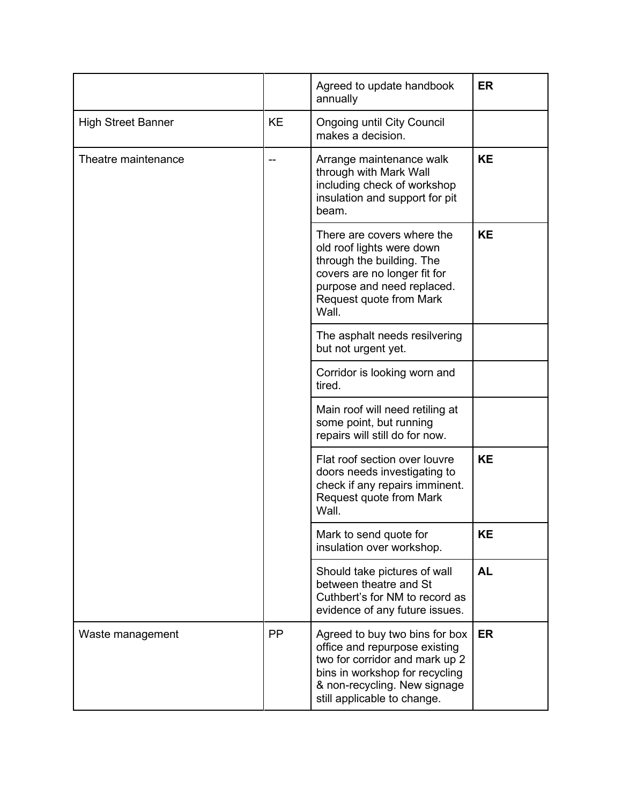|                           |           | Agreed to update handbook<br>annually                                                                                                                                                              | <b>ER</b> |
|---------------------------|-----------|----------------------------------------------------------------------------------------------------------------------------------------------------------------------------------------------------|-----------|
| <b>High Street Banner</b> | <b>KE</b> | <b>Ongoing until City Council</b><br>makes a decision.                                                                                                                                             |           |
| Theatre maintenance       |           | Arrange maintenance walk<br>through with Mark Wall<br>including check of workshop<br>insulation and support for pit<br>beam.                                                                       | <b>KE</b> |
|                           |           | There are covers where the<br>old roof lights were down<br>through the building. The<br>covers are no longer fit for<br>purpose and need replaced.<br>Request quote from Mark<br>Wall.             | <b>KE</b> |
|                           |           | The asphalt needs resilvering<br>but not urgent yet.                                                                                                                                               |           |
|                           |           | Corridor is looking worn and<br>tired.                                                                                                                                                             |           |
|                           |           | Main roof will need retiling at<br>some point, but running<br>repairs will still do for now.                                                                                                       |           |
|                           |           | Flat roof section over louvre<br>doors needs investigating to<br>check if any repairs imminent.<br>Request quote from Mark<br>Wall.                                                                | <b>KE</b> |
|                           |           | Mark to send quote for<br>insulation over workshop.                                                                                                                                                | <b>KE</b> |
|                           |           | Should take pictures of wall<br>between theatre and St<br>Cuthbert's for NM to record as<br>evidence of any future issues.                                                                         | <b>AL</b> |
| Waste management          | <b>PP</b> | Agreed to buy two bins for box<br>office and repurpose existing<br>two for corridor and mark up 2<br>bins in workshop for recycling<br>& non-recycling. New signage<br>still applicable to change. | <b>ER</b> |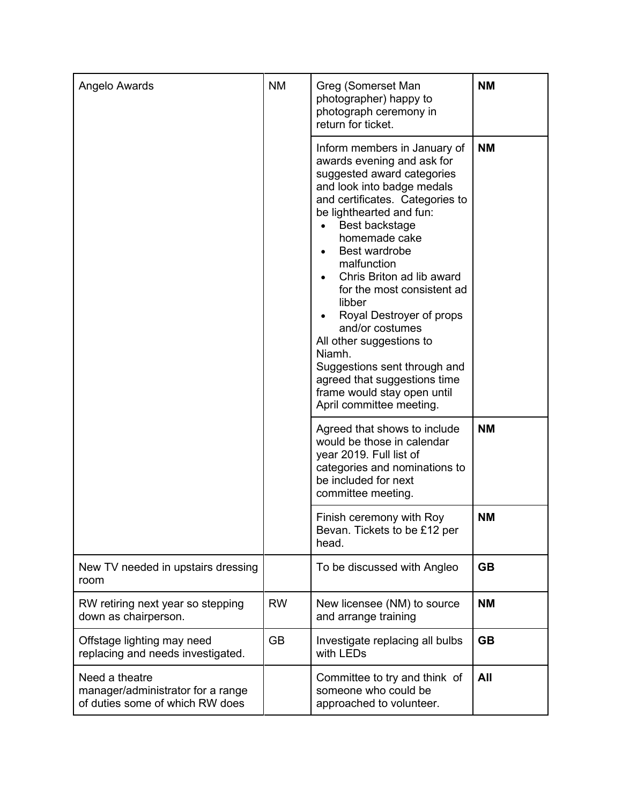| Angelo Awards                                                                          | <b>NM</b> | Greg (Somerset Man<br>photographer) happy to<br>photograph ceremony in<br>return for ticket.                                                                                                                                                                                                                                                                                                                                                                                                                                                                            | <b>NM</b> |
|----------------------------------------------------------------------------------------|-----------|-------------------------------------------------------------------------------------------------------------------------------------------------------------------------------------------------------------------------------------------------------------------------------------------------------------------------------------------------------------------------------------------------------------------------------------------------------------------------------------------------------------------------------------------------------------------------|-----------|
|                                                                                        |           | Inform members in January of<br>awards evening and ask for<br>suggested award categories<br>and look into badge medals<br>and certificates. Categories to<br>be lighthearted and fun:<br>Best backstage<br>homemade cake<br>Best wardrobe<br>$\bullet$<br>malfunction<br>Chris Briton ad lib award<br>$\bullet$<br>for the most consistent ad<br>libber<br>Royal Destroyer of props<br>and/or costumes<br>All other suggestions to<br>Niamh.<br>Suggestions sent through and<br>agreed that suggestions time<br>frame would stay open until<br>April committee meeting. | <b>NM</b> |
|                                                                                        |           | Agreed that shows to include<br>would be those in calendar<br>year 2019. Full list of<br>categories and nominations to<br>be included for next<br>committee meeting.                                                                                                                                                                                                                                                                                                                                                                                                    | <b>NM</b> |
|                                                                                        |           | Finish ceremony with Roy<br>Bevan. Tickets to be £12 per<br>head.                                                                                                                                                                                                                                                                                                                                                                                                                                                                                                       | <b>NM</b> |
| New TV needed in upstairs dressing<br>room                                             |           | To be discussed with Angleo                                                                                                                                                                                                                                                                                                                                                                                                                                                                                                                                             | <b>GB</b> |
| RW retiring next year so stepping<br>down as chairperson.                              | <b>RW</b> | New licensee (NM) to source<br>and arrange training                                                                                                                                                                                                                                                                                                                                                                                                                                                                                                                     | <b>NM</b> |
| Offstage lighting may need<br>replacing and needs investigated.                        | <b>GB</b> | Investigate replacing all bulbs<br>with LEDs                                                                                                                                                                                                                                                                                                                                                                                                                                                                                                                            | <b>GB</b> |
| Need a theatre<br>manager/administrator for a range<br>of duties some of which RW does |           | Committee to try and think of<br>someone who could be<br>approached to volunteer.                                                                                                                                                                                                                                                                                                                                                                                                                                                                                       | All       |